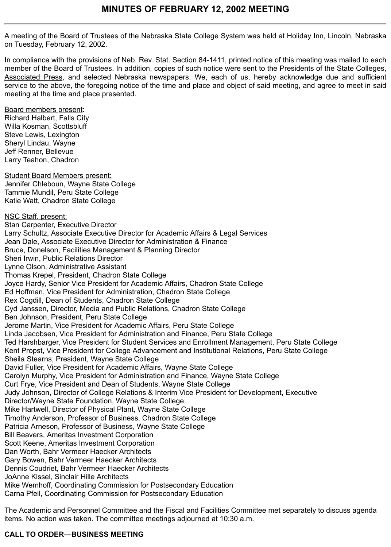A meeting of the Board of Trustees of the Nebraska State College System was held at Holiday Inn, Lincoln, Nebraska on Tuesday, February 12, 2002.

In compliance with the provisions of Neb. Rev. Stat. Section 84-1411, printed notice of this meeting was mailed to each member of the Board of Trustees. In addition, copies of such notice were sent to the Presidents of the State Colleges, Associated Press, and selected Nebraska newspapers. We, each of us, hereby acknowledge due and sufficient service to the above, the foregoing notice of the time and place and object of said meeting, and agree to meet in said meeting at the time and place presented.

Board members present: Richard Halbert, Falls City Willa Kosman, Scottsbluff Steve Lewis, Lexington Sheryl Lindau, Wayne Jeff Renner, Bellevue Larry Teahon, Chadron

Student Board Members present: Jennifer Chleboun, Wayne State College Tammie Mundil, Peru State College Katie Watt, Chadron State College

NSC Staff, present: Stan Carpenter, Executive Director Larry Schultz, Associate Executive Director for Academic Affairs & Legal Services Jean Dale, Associate Executive Director for Administration & Finance Bruce, Donelson, Facilities Management & Planning Director Sheri Irwin, Public Relations Director Lynne Olson, Administrative Assistant Thomas Krepel, President, Chadron State College Joyce Hardy, Senior Vice President for Academic Affairs, Chadron State College Ed Hoffman, Vice President for Administration, Chadron State College Rex Cogdill, Dean of Students, Chadron State College Cyd Janssen, Director, Media and Public Relations, Chadron State College Ben Johnson, President, Peru State College Jerome Martin, Vice President for Academic Affairs, Peru State College Linda Jacobsen, Vice President for Administration and Finance, Peru State College Ted Harshbarger, Vice President for Student Services and Enrollment Management, Peru State College Kent Propst, Vice President for College Advancement and Institutional Relations, Peru State College Sheila Stearns, President, Wayne State College David Fuller, Vice President for Academic Affairs, Wayne State College Carolyn Murphy, Vice President for Administration and Finance, Wayne State College Curt Frye, Vice President and Dean of Students, Wayne State College Judy Johnson, Director of College Relations & Interim Vice President for Development, Executive Director/Wayne State Foundation, Wayne State College Mike Hartwell, Director of Physical Plant, Wayne State College Timothy Anderson, Professor of Business, Chadron State College Patricia Arneson, Professor of Business, Wayne State College Bill Beavers, Ameritas Investment Corporation Scott Keene, Ameritas Investment Corporation Dan Worth, Bahr Vermeer Haecker Architects Gary Bowen, Bahr Vermeer Haecker Architects Dennis Coudriet, Bahr Vermeer Haecker Architects JoAnne Kissel, Sinclair Hille Architects Mike Wemhoff, Coordinating Commission for Postsecondary Education Carna Pfeil, Coordinating Commission for Postsecondary Education

The Academic and Personnel Committee and the Fiscal and Facilities Committee met separately to discuss agenda items. No action was taken. The committee meetings adjourned at 10:30 a.m.

# **CALL TO ORDER—BUSINESS MEETING**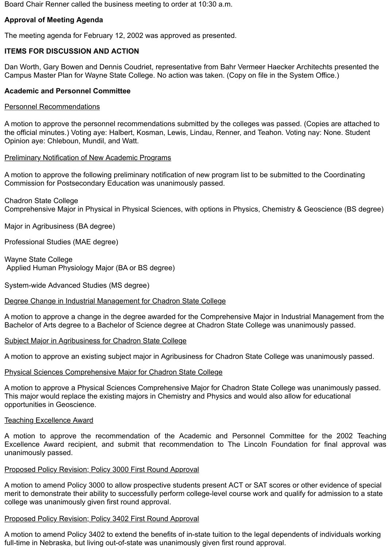Board Chair Renner called the business meeting to order at 10:30 a.m.

# **Approval of Meeting Agenda**

The meeting agenda for February 12, 2002 was approved as presented.

# **ITEMS FOR DISCUSSION AND ACTION**

Dan Worth, Gary Bowen and Dennis Coudriet, representative from Bahr Vermeer Haecker Architechts presented the Campus Master Plan for Wayne State College. No action was taken. (Copy on file in the System Office.)

# **Academic and Personnel Committee**

#### Personnel Recommendations

A motion to approve the personnel recommendations submitted by the colleges was passed. (Copies are attached to the official minutes.) Voting aye: Halbert, Kosman, Lewis, Lindau, Renner, and Teahon. Voting nay: None. Student Opinion aye: Chleboun, Mundil, and Watt.

# Preliminary Notification of New Academic Programs

A motion to approve the following preliminary notification of new program list to be submitted to the Coordinating Commission for Postsecondary Education was unanimously passed.

Chadron State College Comprehensive Major in Physical in Physical Sciences, with options in Physics, Chemistry & Geoscience (BS degree)

Major in Agribusiness (BA degree)

Professional Studies (MAE degree)

Wayne State College Applied Human Physiology Major (BA or BS degree)

System-wide Advanced Studies (MS degree)

#### Degree Change in Industrial Management for Chadron State College

A motion to approve a change in the degree awarded for the Comprehensive Major in Industrial Management from the Bachelor of Arts degree to a Bachelor of Science degree at Chadron State College was unanimously passed.

# Subject Major in Agribusiness for Chadron State College

A motion to approve an existing subject major in Agribusiness for Chadron State College was unanimously passed.

#### Physical Sciences Comprehensive Major for Chadron State College

A motion to approve a Physical Sciences Comprehensive Major for Chadron State College was unanimously passed. This major would replace the existing majors in Chemistry and Physics and would also allow for educational opportunities in Geoscience.

#### Teaching Excellence Award

A motion to approve the recommendation of the Academic and Personnel Committee for the 2002 Teaching Excellence Award recipient, and submit that recommendation to The Lincoln Foundation for final approval was unanimously passed.

# Proposed Policy Revision; Policy 3000 First Round Approval

A motion to amend Policy 3000 to allow prospective students present ACT or SAT scores or other evidence of special merit to demonstrate their ability to successfully perform college-level course work and qualify for admission to a state college was unanimously given first round approval.

#### Proposed Policy Revision; Policy 3402 First Round Approval

A motion to amend Policy 3402 to extend the benefits of in-state tuition to the legal dependents of individuals working full-time in Nebraska, but living out-of-state was unanimously given first round approval.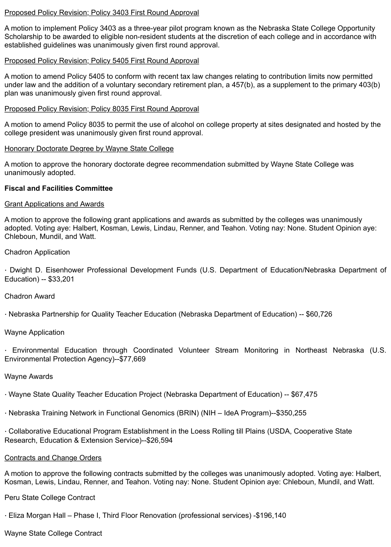#### Proposed Policy Revision; Policy 3403 First Round Approval

A motion to implement Policy 3403 as a three-year pilot program known as the Nebraska State College Opportunity Scholarship to be awarded to eligible non-resident students at the discretion of each college and in accordance with established guidelines was unanimously given first round approval.

# Proposed Policy Revision; Policy 5405 First Round Approval

A motion to amend Policy 5405 to conform with recent tax law changes relating to contribution limits now permitted under law and the addition of a voluntary secondary retirement plan, a 457(b), as a supplement to the primary 403(b) plan was unanimously given first round approval.

# Proposed Policy Revision; Policy 8035 First Round Approval

A motion to amend Policy 8035 to permit the use of alcohol on college property at sites designated and hosted by the college president was unanimously given first round approval.

#### Honorary Doctorate Degree by Wayne State College

A motion to approve the honorary doctorate degree recommendation submitted by Wayne State College was unanimously adopted.

# **Fiscal and Facilities Committee**

# Grant Applications and Awards

A motion to approve the following grant applications and awards as submitted by the colleges was unanimously adopted. Voting aye: Halbert, Kosman, Lewis, Lindau, Renner, and Teahon. Voting nay: None. Student Opinion aye: Chleboun, Mundil, and Watt.

Chadron Application

· Dwight D. Eisenhower Professional Development Funds (U.S. Department of Education/Nebraska Department of Education) -- \$33,201

#### Chadron Award

· Nebraska Partnership for Quality Teacher Education (Nebraska Department of Education) -- \$60,726

# Wayne Application

· Environmental Education through Coordinated Volunteer Stream Monitoring in Northeast Nebraska (U.S. Environmental Protection Agency)--\$77,669

#### Wayne Awards

- · Wayne State Quality Teacher Education Project (Nebraska Department of Education) -- \$67,475
- · Nebraska Training Network in Functional Genomics (BRIN) (NIH IdeA Program)--\$350,255

· Collaborative Educational Program Establishment in the Loess Rolling till Plains (USDA, Cooperative State Research, Education & Extension Service)--\$26,594

# Contracts and Change Orders

A motion to approve the following contracts submitted by the colleges was unanimously adopted. Voting aye: Halbert, Kosman, Lewis, Lindau, Renner, and Teahon. Voting nay: None. Student Opinion aye: Chleboun, Mundil, and Watt.

# Peru State College Contract

· Eliza Morgan Hall – Phase I, Third Floor Renovation (professional services) -\$196,140

# Wayne State College Contract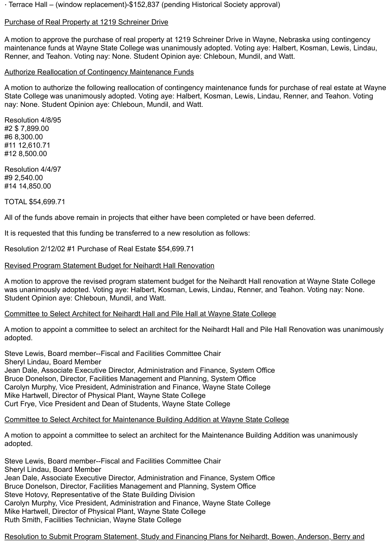· Terrace Hall – (window replacement)-\$152,837 (pending Historical Society approval)

# Purchase of Real Property at 1219 Schreiner Drive

A motion to approve the purchase of real property at 1219 Schreiner Drive in Wayne, Nebraska using contingency maintenance funds at Wayne State College was unanimously adopted. Voting aye: Halbert, Kosman, Lewis, Lindau, Renner, and Teahon. Voting nay: None. Student Opinion aye: Chleboun, Mundil, and Watt.

# Authorize Reallocation of Contingency Maintenance Funds

A motion to authorize the following reallocation of contingency maintenance funds for purchase of real estate at Wayne State College was unanimously adopted. Voting aye: Halbert, Kosman, Lewis, Lindau, Renner, and Teahon. Voting nay: None. Student Opinion aye: Chleboun, Mundil, and Watt.

Resolution 4/8/95 #2 \$ 7,899.00 #6 8,300.00 #11 12,610.71 #12 8,500.00

Resolution 4/4/97 #9 2,540.00 #14 14,850.00

TOTAL \$54,699.71

All of the funds above remain in projects that either have been completed or have been deferred.

It is requested that this funding be transferred to a new resolution as follows:

Resolution 2/12/02 #1 Purchase of Real Estate \$54,699.71

# Revised Program Statement Budget for Neihardt Hall Renovation

A motion to approve the revised program statement budget for the Neihardt Hall renovation at Wayne State College was unanimously adopted. Voting aye: Halbert, Kosman, Lewis, Lindau, Renner, and Teahon. Voting nay: None. Student Opinion aye: Chleboun, Mundil, and Watt.

# Committee to Select Architect for Neihardt Hall and Pile Hall at Wayne State College

A motion to appoint a committee to select an architect for the Neihardt Hall and Pile Hall Renovation was unanimously adopted.

Steve Lewis, Board member--Fiscal and Facilities Committee Chair Sheryl Lindau, Board Member Jean Dale, Associate Executive Director, Administration and Finance, System Office Bruce Donelson, Director, Facilities Management and Planning, System Office Carolyn Murphy, Vice President, Administration and Finance, Wayne State College Mike Hartwell, Director of Physical Plant, Wayne State College Curt Frye, Vice President and Dean of Students, Wayne State College

# Committee to Select Architect for Maintenance Building Addition at Wayne State College

A motion to appoint a committee to select an architect for the Maintenance Building Addition was unanimously adopted.

Steve Lewis, Board member--Fiscal and Facilities Committee Chair Sheryl Lindau, Board Member Jean Dale, Associate Executive Director, Administration and Finance, System Office Bruce Donelson, Director, Facilities Management and Planning, System Office Steve Hotovy, Representative of the State Building Division Carolyn Murphy, Vice President, Administration and Finance, Wayne State College Mike Hartwell, Director of Physical Plant, Wayne State College Ruth Smith, Facilities Technician, Wayne State College

Resolution to Submit Program Statement, Study and Financing Plans for Neihardt, Bowen, Anderson, Berry and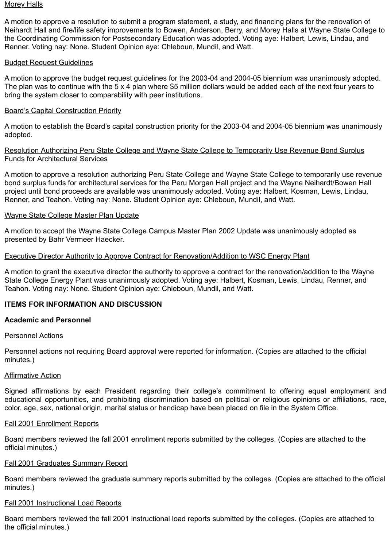#### <u>Morey Halls</u>

A motion to approve a resolution to submit a program statement, a study, and financing plans for the renovation of Neihardt Hall and fire/life safety improvements to Bowen, Anderson, Berry, and Morey Halls at Wayne State College to the Coordinating Commission for Postsecondary Education was adopted. Voting aye: Halbert, Lewis, Lindau, and Renner. Voting nay: None. Student Opinion aye: Chleboun, Mundil, and Watt.

# Budget Request Guidelines

A motion to approve the budget request guidelines for the 2003-04 and 2004-05 biennium was unanimously adopted. The plan was to continue with the 5 x 4 plan where \$5 million dollars would be added each of the next four years to bring the system closer to comparability with peer institutions.

# Board's Capital Construction Priority

A motion to establish the Board's capital construction priority for the 2003-04 and 2004-05 biennium was unanimously adopted.

# Resolution Authorizing Peru State College and Wayne State College to Temporarily Use Revenue Bond Surplus Funds for Architectural Services

A motion to approve a resolution authorizing Peru State College and Wayne State College to temporarily use revenue bond surplus funds for architectural services for the Peru Morgan Hall project and the Wayne Neihardt/Bowen Hall project until bond proceeds are available was unanimously adopted. Voting aye: Halbert, Kosman, Lewis, Lindau, Renner, and Teahon. Voting nay: None. Student Opinion aye: Chleboun, Mundil, and Watt.

# Wayne State College Master Plan Update

A motion to accept the Wayne State College Campus Master Plan 2002 Update was unanimously adopted as presented by Bahr Vermeer Haecker.

# Executive Director Authority to Approve Contract for Renovation/Addition to WSC Energy Plant

A motion to grant the executive director the authority to approve a contract for the renovation/addition to the Wayne State College Energy Plant was unanimously adopted. Voting aye: Halbert, Kosman, Lewis, Lindau, Renner, and Teahon. Voting nay: None. Student Opinion aye: Chleboun, Mundil, and Watt.

# **ITEMS FOR INFORMATION AND DISCUSSION**

#### **Academic and Personnel**

#### Personnel Actions

Personnel actions not requiring Board approval were reported for information. (Copies are attached to the official minutes.)

#### Affirmative Action

Signed affirmations by each President regarding their college's commitment to offering equal employment and educational opportunities, and prohibiting discrimination based on political or religious opinions or affiliations, race, color, age, sex, national origin, marital status or handicap have been placed on file in the System Office.

#### Fall 2001 Enrollment Reports

Board members reviewed the fall 2001 enrollment reports submitted by the colleges. (Copies are attached to the official minutes.)

#### Fall 2001 Graduates Summary Report

Board members reviewed the graduate summary reports submitted by the colleges. (Copies are attached to the official minutes.)

#### Fall 2001 Instructional Load Reports

Board members reviewed the fall 2001 instructional load reports submitted by the colleges. (Copies are attached to the official minutes.)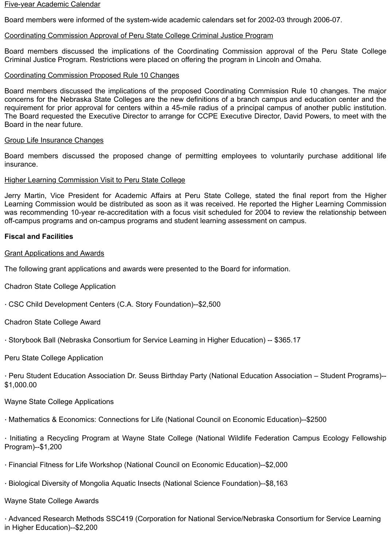#### Five-year Academic Calendar

Board members were informed of the system-wide academic calendars set for 2002-03 through 2006-07.

# Coordinating Commission Approval of Peru State College Criminal Justice Program

Board members discussed the implications of the Coordinating Commission approval of the Peru State College Criminal Justice Program. Restrictions were placed on offering the program in Lincoln and Omaha.

#### Coordinating Commission Proposed Rule 10 Changes

Board members discussed the implications of the proposed Coordinating Commission Rule 10 changes. The major concerns for the Nebraska State Colleges are the new definitions of a branch campus and education center and the requirement for prior approval for centers within a 45-mile radius of a principal campus of another public institution. The Board requested the Executive Director to arrange for CCPE Executive Director, David Powers, to meet with the Board in the near future.

#### Group Life Insurance Changes

Board members discussed the proposed change of permitting employees to voluntarily purchase additional life insurance.

#### Higher Learning Commission Visit to Peru State College

Jerry Martin, Vice President for Academic Affairs at Peru State College, stated the final report from the Higher Learning Commission would be distributed as soon as it was received. He reported the Higher Learning Commission was recommending 10-year re-accreditation with a focus visit scheduled for 2004 to review the relationship between off-campus programs and on-campus programs and student learning assessment on campus.

# **Fiscal and Facilities**

#### Grant Applications and Awards

The following grant applications and awards were presented to the Board for information.

Chadron State College Application

· CSC Child Development Centers (C.A. Story Foundation)--\$2,500

Chadron State College Award

· Storybook Ball (Nebraska Consortium for Service Learning in Higher Education) -- \$365.17

Peru State College Application

· Peru Student Education Association Dr. Seuss Birthday Party (National Education Association – Student Programs)-- \$1,000.00

Wayne State College Applications

· Mathematics & Economics: Connections for Life (National Council on Economic Education)--\$2500

· Initiating a Recycling Program at Wayne State College (National Wildlife Federation Campus Ecology Fellowship Program)--\$1,200

- · Financial Fitness for Life Workshop (National Council on Economic Education)--\$2,000
- · Biological Diversity of Mongolia Aquatic Insects (National Science Foundation)--\$8,163

# Wayne State College Awards

· Advanced Research Methods SSC419 (Corporation for National Service/Nebraska Consortium for Service Learning in Higher Education)--\$2,200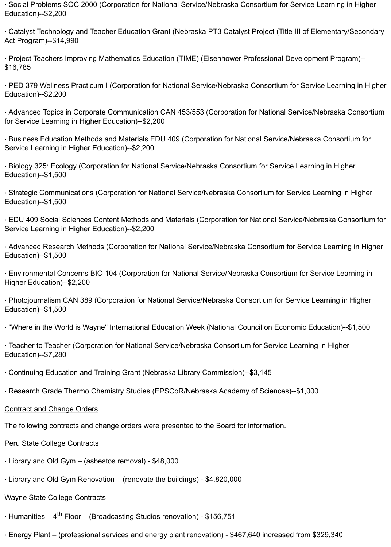· Social Problems SOC 2000 (Corporation for National Service/Nebraska Consortium for Service Learning in Higher Education)--\$2,200

· Catalyst Technology and Teacher Education Grant (Nebraska PT3 Catalyst Project (Title III of Elementary/Secondary Act Program)--\$14,990

· Project Teachers Improving Mathematics Education (TIME) (Eisenhower Professional Development Program)-- \$16,785

· PED 379 Wellness Practicum I (Corporation for National Service/Nebraska Consortium for Service Learning in Higher Education)--\$2,200

· Advanced Topics in Corporate Communication CAN 453/553 (Corporation for National Service/Nebraska Consortium for Service Learning in Higher Education)--\$2,200

· Business Education Methods and Materials EDU 409 (Corporation for National Service/Nebraska Consortium for Service Learning in Higher Education)--\$2,200

· Biology 325: Ecology (Corporation for National Service/Nebraska Consortium for Service Learning in Higher Education)--\$1,500

· Strategic Communications (Corporation for National Service/Nebraska Consortium for Service Learning in Higher Education)--\$1,500

· EDU 409 Social Sciences Content Methods and Materials (Corporation for National Service/Nebraska Consortium for Service Learning in Higher Education)--\$2,200

· Advanced Research Methods (Corporation for National Service/Nebraska Consortium for Service Learning in Higher Education)--\$1,500

· Environmental Concerns BIO 104 (Corporation for National Service/Nebraska Consortium for Service Learning in Higher Education)--\$2,200

· Photojournalism CAN 389 (Corporation for National Service/Nebraska Consortium for Service Learning in Higher Education)--\$1,500

· "Where in the World is Wayne" International Education Week (National Council on Economic Education)--\$1,500

· Teacher to Teacher (Corporation for National Service/Nebraska Consortium for Service Learning in Higher Education)--\$7,280

· Continuing Education and Training Grant (Nebraska Library Commission)--\$3,145

· Research Grade Thermo Chemistry Studies (EPSCoR/Nebraska Academy of Sciences)--\$1,000

Contract and Change Orders

The following contracts and change orders were presented to the Board for information.

Peru State College Contracts

- · Library and Old Gym (asbestos removal) \$48,000
- · Library and Old Gym Renovation (renovate the buildings) \$4,820,000

# Wayne State College Contracts

 $\cdot$  Humanities – 4<sup>th</sup> Floor – (Broadcasting Studios renovation) - \$156,751

· Energy Plant – (professional services and energy plant renovation) - \$467,640 increased from \$329,340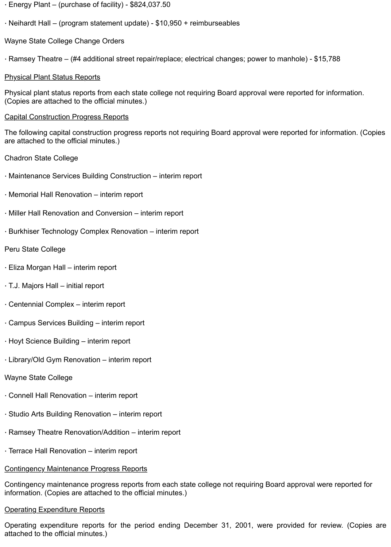- · Energy Plant (purchase of facility) \$824,037.50
- · Neihardt Hall (program statement update) \$10,950 + reimburseables
- Wayne State College Change Orders
- · Ramsey Theatre (#4 additional street repair/replace; electrical changes; power to manhole) \$15,788

# Physical Plant Status Reports

Physical plant status reports from each state college not requiring Board approval were reported for information. (Copies are attached to the official minutes.)

# Capital Construction Progress Reports

The following capital construction progress reports not requiring Board approval were reported for information. (Copies are attached to the official minutes.)

- Chadron State College
- · Maintenance Services Building Construction interim report
- · Memorial Hall Renovation interim report
- · Miller Hall Renovation and Conversion interim report
- · Burkhiser Technology Complex Renovation interim report

# Peru State College

- · Eliza Morgan Hall interim report
- · T.J. Majors Hall initial report
- · Centennial Complex interim report
- · Campus Services Building interim report
- · Hoyt Science Building interim report
- · Library/Old Gym Renovation interim report

# Wayne State College

- · Connell Hall Renovation interim report
- · Studio Arts Building Renovation interim report
- · Ramsey Theatre Renovation/Addition interim report
- · Terrace Hall Renovation interim report

# Contingency Maintenance Progress Reports

Contingency maintenance progress reports from each state college not requiring Board approval were reported for information. (Copies are attached to the official minutes.)

# Operating Expenditure Reports

Operating expenditure reports for the period ending December 31, 2001, were provided for review. (Copies are attached to the official minutes.)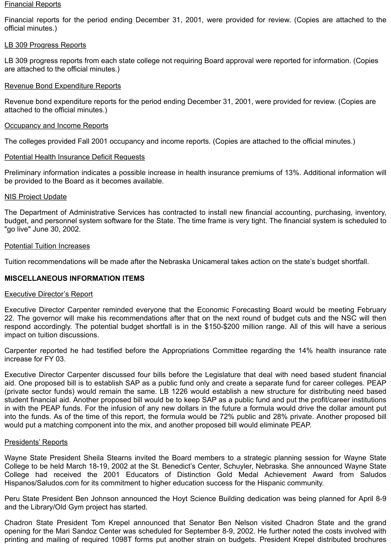#### Financial Reports

Financial reports for the period ending December 31, 2001, were provided for review. (Copies are attached to the official minutes.)

#### LB 309 Progress Reports

LB 309 progress reports from each state college not requiring Board approval were reported for information. (Copies are attached to the official minutes.)

# Revenue Bond Expenditure Reports

Revenue bond expenditure reports for the period ending December 31, 2001, were provided for review. (Copies are attached to the official minutes.)

#### **Occupancy and Income Reports**

The colleges provided Fall 2001 occupancy and income reports. (Copies are attached to the official minutes.)

# Potential Health Insurance Deficit Requests

Preliminary information indicates a possible increase in health insurance premiums of 13%. Additional information will be provided to the Board as it becomes available.

# NIS Project Update

The Department of Administrative Services has contracted to install new financial accounting, purchasing, inventory, budget, and personnel system software for the State. The time frame is very tight. The financial system is scheduled to "go live" June 30, 2002.

#### Potential Tuition Increases

Tuition recommendations will be made after the Nebraska Unicameral takes action on the state's budget shortfall.

# **MISCELLANEOUS INFORMATION ITEMS**

#### Executive Director's Report

Executive Director Carpenter reminded everyone that the Economic Forecasting Board would be meeting February 22. The governor will make his recommendations after that on the next round of budget cuts and the NSC will then respond accordingly. The potential budget shortfall is in the \$150-\$200 million range. All of this will have a serious impact on tuition discussions.

Carpenter reported he had testified before the Appropriations Committee regarding the 14% health insurance rate increase for FY 03.

Executive Director Carpenter discussed four bills before the Legislature that deal with need based student financial aid. One proposed bill is to establish SAP as a public fund only and create a separate fund for career colleges. PEAP (private sector funds) would remain the same. LB 1226 would establish a new structure for distributing need based student financial aid. Another proposed bill would be to keep SAP as a public fund and put the profit/career institutions in with the PEAP funds. For the infusion of any new dollars in the future a formula would drive the dollar amount put into the funds. As of the time of this report, the formula would be 72% public and 28% private. Another proposed bill would put a matching component into the mix, and another proposed bill would eliminate PEAP.

#### Presidents' Reports

Wayne State President Sheila Stearns invited the Board members to a strategic planning session for Wayne State College to be held March 18-19, 2002 at the St. Benedict's Center, Schuyler, Nebraska. She announced Wayne State College had received the 2001 Educators of Distinction Gold Medal Achievement Award from Saludos Hispanos/Saludos.com for its commitment to higher education success for the Hispanic community.

Peru State President Ben Johnson announced the Hoyt Science Building dedication was being planned for April 8-9 and the Library/Old Gym project has started.

Chadron State President Tom Krepel announced that Senator Ben Nelson visited Chadron State and the grand opening for the Mari Sandoz Center was scheduled for September 8-9, 2002. He further noted the costs involved with printing and mailing of required 1098T forms put another strain on budgets. President Krepel distributed brochures